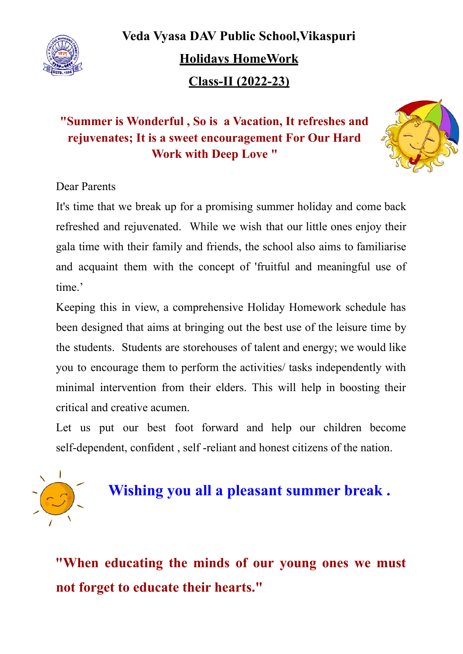**Veda Vyasa DAV Public School,Vikaspuri**

**Holidays HomeWork**

**Class-II (2022-23)**

## **"Summer is Wonderful , So is a Vacation, It refreshes and rejuvenates; It is a sweet encouragement For Our Hard Work with Deep Love "**



#### Dear Parents

It's time that we break up for a promising summer holiday and come back refreshed and rejuvenated. While we wish that our little ones enjoy their gala time with their family and friends, the school also aims to familiarise and acquaint them with the concept of 'fruitful and meaningful use of time<sup>'</sup>

Keeping this in view, a comprehensive Holiday Homework schedule has been designed that aims at bringing out the best use of the leisure time by the students. Students are storehouses of talent and energy; we would like you to encourage them to perform the activities/ tasks independently with minimal intervention from their elders. This will help in boosting their critical and creative acumen.

Let us put our best foot forward and help our children become self-dependent, confident , self -reliant and honest citizens of the nation.



# **Wishing you all a pleasant summer break .**

**"When educating the minds of our young ones we must not forget to educate their hearts."**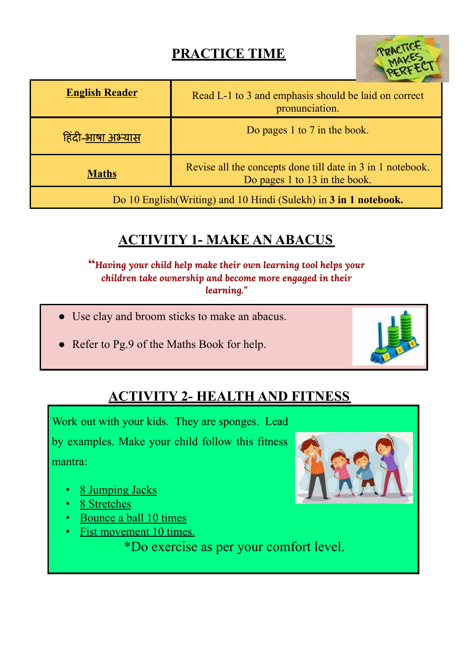## **PRACTICE TIME**



| <b>English Reader</b>    | Read L-1 to 3 and emphasis should be laid on correct<br>pronunciation.                      |
|--------------------------|---------------------------------------------------------------------------------------------|
| <u>हिंदी-भाषा अभ्यास</u> | Do pages 1 to 7 in the book.                                                                |
| <b>Maths</b>             | Revise all the concepts done till date in 3 in 1 notebook.<br>Do pages 1 to 13 in the book. |
|                          |                                                                                             |

Do 10 English(Writing) and 10 Hindi (Sulekh) in **3 in 1 notebook.**

## **ACTIVITY 1- MAKE AN ABACUS**

**"***Having your child help make their own learning tool helps your children take ownership and become more engaged in their learning."*

- Use clay and broom sticks to make an abacus.
- Refer to Pg.9 of the Maths Book for help.



## **ACTIVITY 2- HEALTH AND FITNESS**

Work out with your kids. They are sponges. Lead

by examples. Make your child follow this fitness mantra:

- 8 Jumping Jacks
- 8 Stretches
- Bounce a ball 10 times
- Fist movement 10 times.

\*Do exercise as per your comfort level.

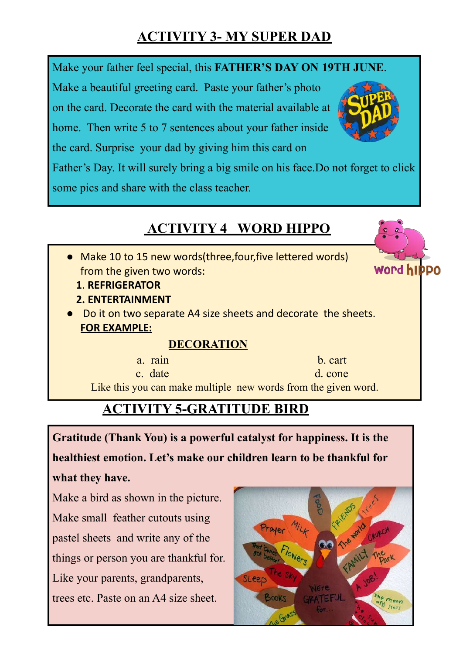## **ACTIVITY 3- MY SUPER DAD**

Make your father feel special, this **FATHER'S DAY ON 19TH JUNE**.

Make a beautiful greeting card. Paste your father's photo on the card. Decorate the card with the material available at

home. Then write 5 to 7 sentences about your father inside

the card. Surprise your dad by giving him this card on

Father's Day. It will surely bring a big smile on his face.Do not forget to click some pics and share with the class teacher.

# **ACTIVITY 4 WORD HIPPO**

● Make 10 to 15 new words(three,four,five lettered words) from the given two words:

**1**. **REFRIGERATOR**

- **2. ENTERTAINMENT**
- Do it on two separate A4 size sheets and decorate the sheets. **FOR EXAMPLE:**

### **DECORATION**

- 
- 

a. rain b. cart c. date d. cone

Like this you can make multiple new words from the given word.

# **ACTIVITY 5-GRATITUDE BIRD**

**Gratitude (Thank You) is a powerful catalyst for happiness. It is the healthiest emotion. Let's make our children learn to be thankful for**

### **what they have.**

Make a bird as shown in the picture. Make small feather cutouts using pastel sheets and write any of the things or person you are thankful for. Like your parents, grandparents, trees etc. Paste on an A4 size sheet.





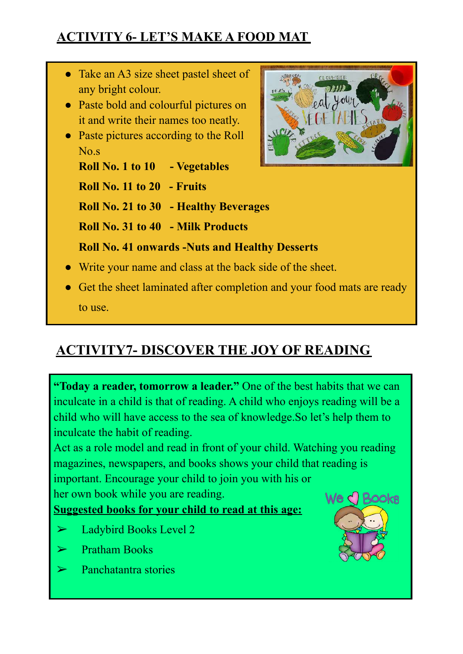## **ACTIVITY 6- LET'S MAKE A FOOD MAT**

- Take an A3 size sheet pastel sheet of any bright colour.
- Paste bold and colourful pictures on it and write their names too neatly.
- Paste pictures according to the Roll No.s

**Roll No. 1 to 10 - Vegetables**

**Roll No. 11 to 20 - Fruits**

**Roll No. 21 to 30 - Healthy Beverages**

**Roll No. 31 to 40 - Milk Products**

**Roll No. 41 onwards -Nuts and Healthy Desserts**

- Write your name and class at the back side of the sheet.
- Get the sheet laminated after completion and your food mats are ready to use.

# **ACTIVITY7- DISCOVER THE JOY OF READING**

**"Today a reader, tomorrow a leader."** One of the best habits that we can inculcate in a child is that of reading. A child who enjoys reading will be a child who will have access to the sea of knowledge.So let's help them to inculcate the habit of reading.

Act as a role model and read in front of your child. Watching you reading magazines, newspapers, and books shows your child that reading is important. Encourage your child to join you with his or

her own book while you are reading.

**Suggested books for your child to read at this age:**

- $\blacktriangleright$  Ladybird Books Level 2
- ➢ Pratham Books
- $\triangleright$  Panchatantra stories



 $We \bigcirc$  Books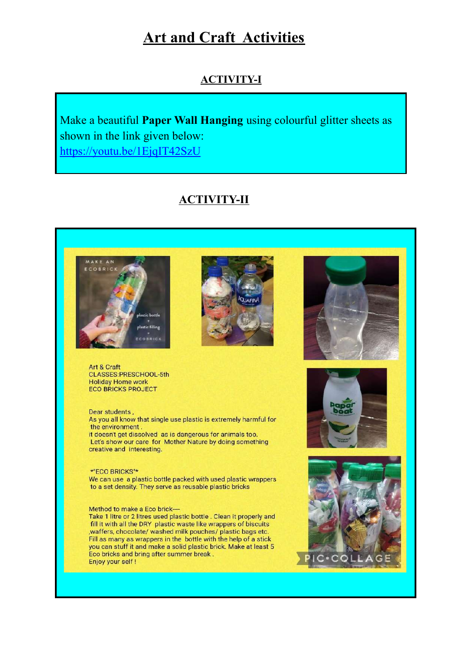## **Art and Craft Activities**

#### **ACTIVITY-I**

Make a beautiful **Paper Wall Hanging** using colourful glitter sheets as shown in the link given below: <https://youtu.be/1EjqIT42SzU>

#### **ACTIVITY-II**



Art & Craft CLASSES:PRESCHOOL-5th **Holiday Home work ECO BRICKS PROJECT** 

#### Dear students,

As you all know that single use plastic is extremely harmful for the environment. it doesn't get dissolved as is dangerous for animals too.

Let's show our care for Mother Nature by doing something creative and interesting

**\*"ECO BRICKS"\*** We can use a plastic bottle packed with used plastic wrappers to a set density. They serve as reusable plastic bricks

#### Method to make a Eco brick-

Take 1 litre or 2 litres used plastic bottle. Clean it properly and fill it with all the DRY plastic waste like wrappers of biscuits ,waffers, chocolate/ washed milk pouches/ plastic bags etc. Fill as many as wrappers in the bottle with the help of a stick you can stuff it and make a solid plastic brick. Make at least 5 Eco bricks and bring after summer break. Enjoy your self !